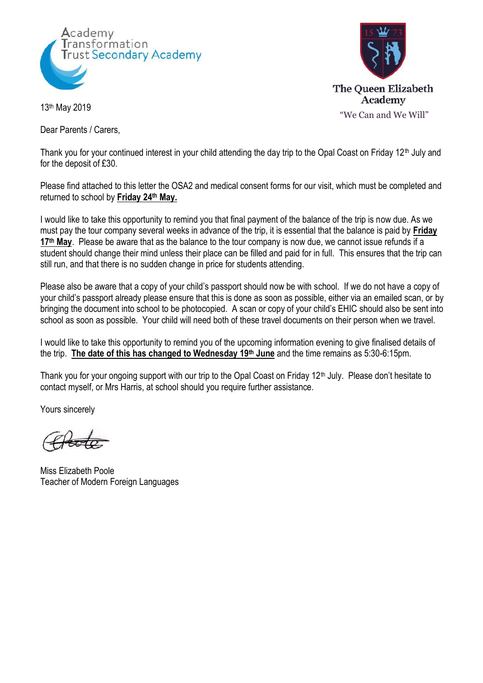



13th May 2019

Dear Parents / Carers,

Thank you for your continued interest in your child attending the day trip to the Opal Coast on Friday 12<sup>th</sup> July and for the deposit of £30.

Please find attached to this letter the OSA2 and medical consent forms for our visit, which must be completed and returned to school by **Friday 24th May.**

I would like to take this opportunity to remind you that final payment of the balance of the trip is now due. As we must pay the tour company several weeks in advance of the trip, it is essential that the balance is paid by **Friday 17th May**. Please be aware that as the balance to the tour company is now due, we cannot issue refunds if a student should change their mind unless their place can be filled and paid for in full. This ensures that the trip can still run, and that there is no sudden change in price for students attending.

Please also be aware that a copy of your child's passport should now be with school. If we do not have a copy of your child's passport already please ensure that this is done as soon as possible, either via an emailed scan, or by bringing the document into school to be photocopied. A scan or copy of your child's EHIC should also be sent into school as soon as possible. Your child will need both of these travel documents on their person when we travel.

I would like to take this opportunity to remind you of the upcoming information evening to give finalised details of the trip. **The date of this has changed to Wednesday 19th June** and the time remains as 5:30-6:15pm.

Thank you for your ongoing support with our trip to the Opal Coast on Friday 12<sup>th</sup> July. Please don't hesitate to contact myself, or Mrs Harris, at school should you require further assistance.

Yours sincerely

Miss Elizabeth Poole Teacher of Modern Foreign Languages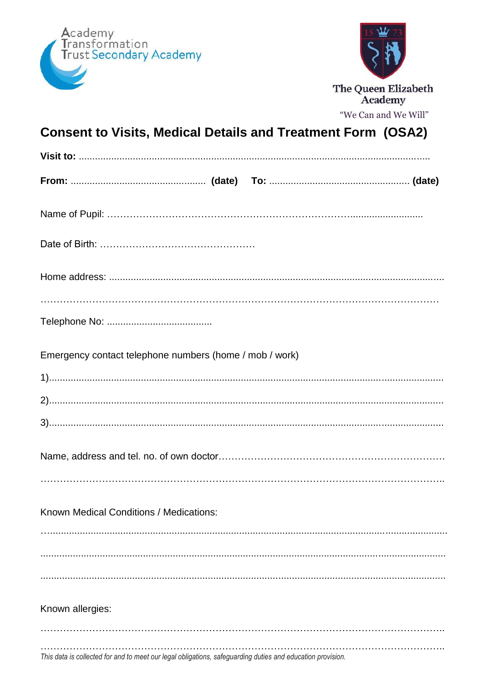



"We Can and We Will"

## **Consent to Visits, Medical Details and Treatment Form (OSA2)**

| Emergency contact telephone numbers (home / mob / work) |  |
|---------------------------------------------------------|--|
|                                                         |  |
|                                                         |  |
|                                                         |  |
|                                                         |  |
| Known Medical Conditions / Medications:                 |  |
|                                                         |  |
|                                                         |  |
| Known allergies:                                        |  |
|                                                         |  |
|                                                         |  |

This data is collected for and to meet our legal obligations, safeguarding duties and education provision.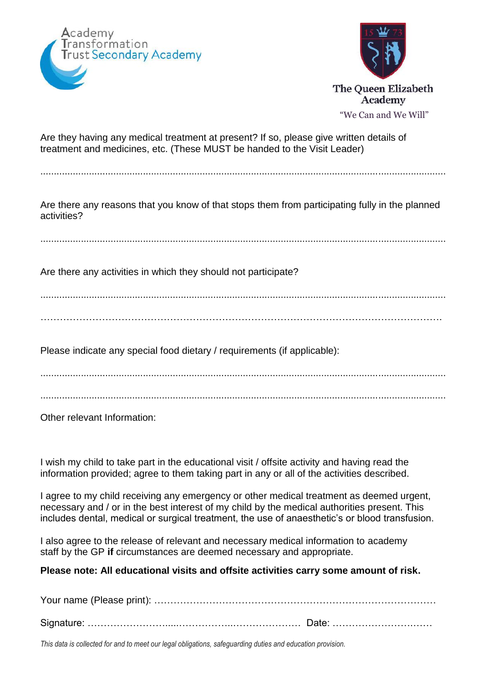



Are they having any medical treatment at present? If so, please give written details of treatment and medicines, etc. (These MUST be handed to the Visit Leader)

......................................................................................................................................................

Are there any reasons that you know of that stops them from participating fully in the planned activities?

......................................................................................................................................................

Are there any activities in which they should not participate?

...................................................................................................................................................... …………………………………………………………………………………………………………….

Please indicate any special food dietary / requirements (if applicable):

...................................................................................................................................................... ......................................................................................................................................................

Other relevant Information:

I wish my child to take part in the educational visit / offsite activity and having read the information provided; agree to them taking part in any or all of the activities described.

I agree to my child receiving any emergency or other medical treatment as deemed urgent, necessary and / or in the best interest of my child by the medical authorities present. This includes dental, medical or surgical treatment, the use of anaesthetic's or blood transfusion.

I also agree to the release of relevant and necessary medical information to academy staff by the GP **if** circumstances are deemed necessary and appropriate.

**Please note: All educational visits and offsite activities carry some amount of risk.**

*This data is collected for and to meet our legal obligations, safeguarding duties and education provision.*